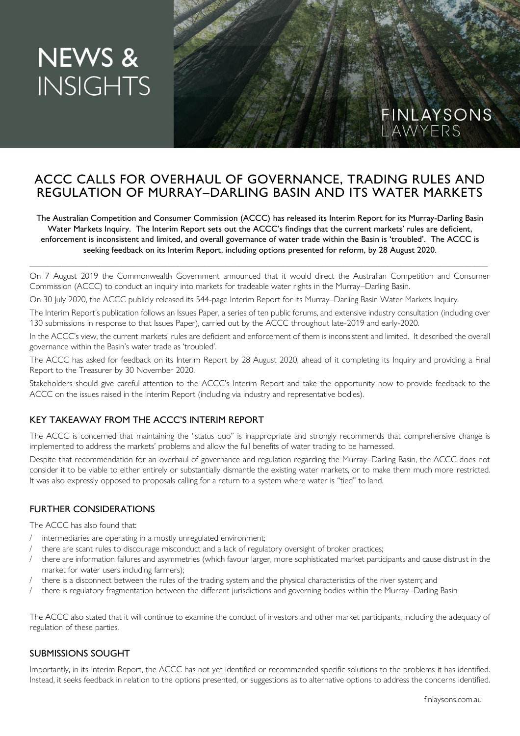# **NEWS & INSIGHTS**

# ACCC CALLS FOR OVERHAUL OF GOVERNANCE, TRADING RULES AND REGULATION OF MURRAY–DARLING BASIN AND ITS WATER MARKETS

The Australian Competition and Consumer Commission (ACCC) has released its Interim Report for its Murray-Darling Basin Water Markets Inquiry. The Interim Report sets out the ACCC's findings that the current markets' rules are deficient, enforcement is inconsistent and limited, and overall governance of water trade within the Basin is 'troubled'. The ACCC is seeking feedback on its Interim Report, including options presented for reform, by 28 August 2020.

On 7 August 2019 the Commonwealth Government announced that it would direct the Australian Competition and Consumer Commission (ACCC) to conduct an inquiry into markets for tradeable water rights in the Murray–Darling Basin.

\_\_\_\_\_\_\_\_\_\_\_\_\_\_\_\_\_\_\_\_\_\_\_\_\_\_\_\_\_\_\_\_\_\_\_\_\_\_\_\_\_\_\_\_\_\_\_\_\_\_\_\_\_\_\_\_\_\_\_\_\_\_\_\_\_\_\_\_\_\_\_\_\_\_\_\_\_\_\_\_\_\_\_\_\_\_\_\_\_\_\_\_\_\_\_\_\_\_\_\_\_\_\_\_\_

On 30 July 2020, the ACCC publicly released its 544-page Interim Report for its Murray–Darling Basin Water Markets Inquiry.

The Interim Report's publication follows an Issues Paper, a series of ten public forums, and extensive industry consultation (including over 130 submissions in response to that Issues Paper), carried out by the ACCC throughout late-2019 and early-2020.

In the ACCC's view, the current markets' rules are deficient and enforcement of them is inconsistent and limited. It described the overall governance within the Basin's water trade as 'troubled'.

The ACCC has asked for feedback on its Interim Report by 28 August 2020, ahead of it completing its Inquiry and providing a Final Report to the Treasurer by 30 November 2020.

Stakeholders should give careful attention to the ACCC's Interim Report and take the opportunity now to provide feedback to the ACCC on the issues raised in the Interim Report (including via industry and representative bodies).

## KEY TAKEAWAY FROM THE ACCC'S INTERIM REPORT

The ACCC is concerned that maintaining the "status quo" is inappropriate and strongly recommends that comprehensive change is implemented to address the markets' problems and allow the full benefits of water trading to be harnessed.

Despite that recommendation for an overhaul of governance and regulation regarding the Murray–Darling Basin, the ACCC does not consider it to be viable to either entirely or substantially dismantle the existing water markets, or to make them much more restricted. It was also expressly opposed to proposals calling for a return to a system where water is "tied" to land.

#### FURTHER CONSIDERATIONS

The ACCC has also found that:

- / intermediaries are operating in a mostly unregulated environment;
- there are scant rules to discourage misconduct and a lack of regulatory oversight of broker practices;
- there are information failures and asymmetries (which favour larger, more sophisticated market participants and cause distrust in the market for water users including farmers);
- there is a disconnect between the rules of the trading system and the physical characteristics of the river system; and
- there is regulatory fragmentation between the different jurisdictions and governing bodies within the Murray–Darling Basin

The ACCC also stated that it will continue to examine the conduct of investors and other market participants, including the adequacy of regulation of these parties.

## SUBMISSIONS SOUGHT

Importantly, in its Interim Report, the ACCC has not yet identified or recommended specific solutions to the problems it has identified. Instead, it seeks feedback in relation to the options presented, or suggestions as to alternative options to address the concerns identified.

FINLAYSONS<br>LAWYERS